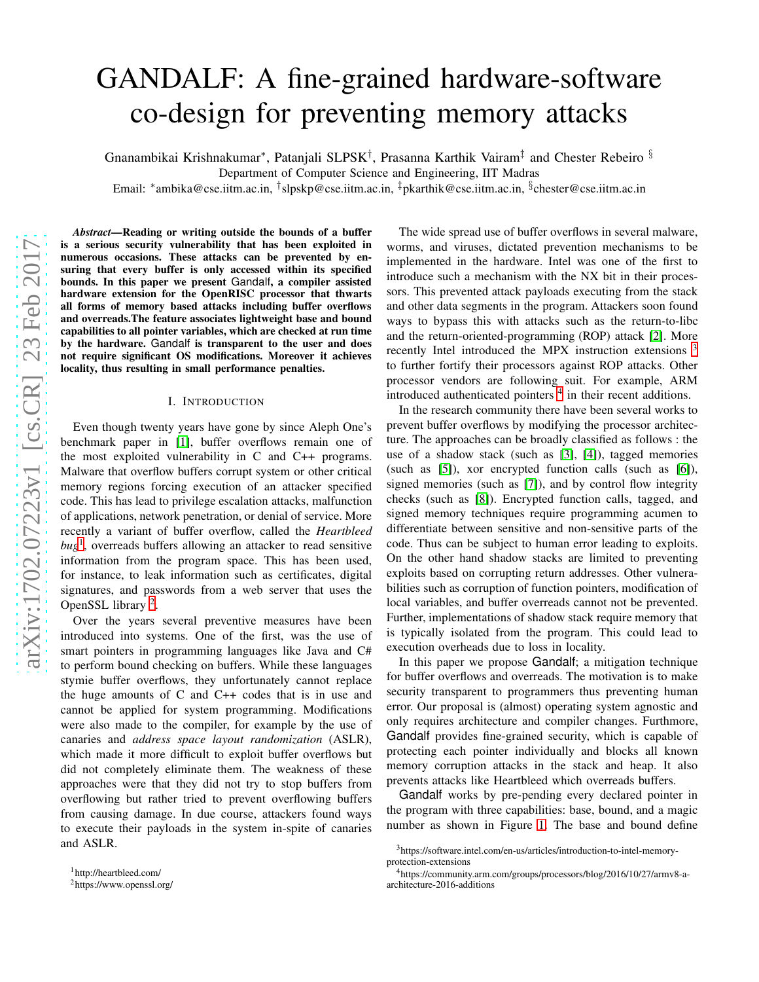# GANDALF: A fine-grained hardware-software co-design for preventing memory attacks

Gnanambikai Krishnakumar\*, Patanjali SLPSK<sup>†</sup>, Prasanna Karthik Vairam<sup>‡</sup> and Chester Rebeiro <sup>§</sup>

Department of Computer Science and Engineering, IIT Madras

Email: \*ambika@cse.iitm.ac.in, <sup>†</sup>slpskp@cse.iitm.ac.in, <sup>‡</sup>pkarthik@cse.iitm.ac.in, <sup>§</sup>chester@cse.iitm.ac.in

*Abstract*—Reading or writing outside the bounds of a buffer is a serious security vulnerability that has been exploited in numerous occasions. These attacks can be prevented by ensuring that every buffer is only accessed within its specified bounds. In this paper we present Gandalf, a compiler assisted hardware extension for the OpenRISC processor that thwarts all forms of memory based attacks including buffer overflows and overreads.The feature associates lightweight base and bound capabilities to all pointer variables, which are checked at run time by the hardware. Gandalf is transparent to the user and does not require significant OS modifications. Moreover it achieves locality, thus resulting in small performance penalties.

#### I. INTRODUCTION

Even though twenty years have gone by since Aleph One's benchmark paper in [\[1\]](#page-4-0), buffer overflows remain one of the most exploited vulnerability in C and C++ programs. Malware that overflow buffers corrupt system or other critical memory regions forcing execution of an attacker specified code. This has lead to privilege escalation attacks, malfunction of applications, network penetration, or denial of service. More recently a variant of buffer overflow, called the *Heartbleed bug*[1](#page-0-0) , overreads buffers allowing an attacker to read sensitive information from the program space. This has been used, for instance, to leak information such as certificates, digital signatures, and passwords from a web server that uses the OpenSSL library<sup>[2](#page-0-1)</sup>.

Over the years several preventive measures have been introduced into systems. One of the first, was the use of smart pointers in programming languages like Java and C# to perform bound checking on buffers. While these languages stymie buffer overflows, they unfortunately cannot replace the huge amounts of C and C++ codes that is in use and cannot be applied for system programming. Modifications were also made to the compiler, for example by the use of canaries and *address space layout randomization* (ASLR), which made it more difficult to exploit buffer overflows but did not completely eliminate them. The weakness of these approaches were that they did not try to stop buffers from overflowing but rather tried to prevent overflowing buffers from causing damage. In due course, attackers found ways to execute their payloads in the system in-spite of canaries and ASLR.

The wide spread use of buffer overflows in several malware, worms, and viruses, dictated prevention mechanisms to be implemented in the hardware. Intel was one of the first to introduce such a mechanism with the NX bit in their processors. This prevented attack payloads executing from the stack and other data segments in the program. Attackers soon found ways to bypass this with attacks such as the return-to-libc and the return-oriented-programming (ROP) attack [\[2\]](#page-4-1). More recently Intel introduced the MPX instruction extensions <sup>[3](#page-0-2)</sup> to further fortify their processors against ROP attacks. Other processor vendors are following suit. For example, ARM introduced authenticated pointers  $4$  in their recent additions.

In the research community there have been several works to prevent buffer overflows by modifying the processor architecture. The approaches can be broadly classified as follows : the use of a shadow stack (such as [\[3\]](#page-4-2), [\[4\]](#page-4-3)), tagged memories (such as [\[5\]](#page-4-4)), xor encrypted function calls (such as [\[6\]](#page-4-5)), signed memories (such as [\[7\]](#page-4-6)), and by control flow integrity checks (such as [\[8\]](#page-4-7)). Encrypted function calls, tagged, and signed memory techniques require programming acumen to differentiate between sensitive and non-sensitive parts of the code. Thus can be subject to human error leading to exploits. On the other hand shadow stacks are limited to preventing exploits based on corrupting return addresses. Other vulnerabilities such as corruption of function pointers, modification of local variables, and buffer overreads cannot not be prevented. Further, implementations of shadow stack require memory that is typically isolated from the program. This could lead to execution overheads due to loss in locality.

In this paper we propose Gandalf; a mitigation technique for buffer overflows and overreads. The motivation is to make security transparent to programmers thus preventing human error. Our proposal is (almost) operating system agnostic and only requires architecture and compiler changes. Furthmore, Gandalf provides fine-grained security, which is capable of protecting each pointer individually and blocks all known memory corruption attacks in the stack and heap. It also prevents attacks like Heartbleed which overreads buffers.

Gandalf works by pre-pending every declared pointer in the program with three capabilities: base, bound, and a magic number as shown in Figure [1.](#page-1-0) The base and bound define

<sup>1</sup>http://heartbleed.com/

<span id="page-0-1"></span><span id="page-0-0"></span><sup>2</sup>https://www.openssl.org/

<span id="page-0-2"></span><sup>3</sup>https://software.intel.com/en-us/articles/introduction-to-intel-memoryprotection-extensions

<span id="page-0-3"></span><sup>4</sup>https://community.arm.com/groups/processors/blog/2016/10/27/armv8-aarchitecture-2016-additions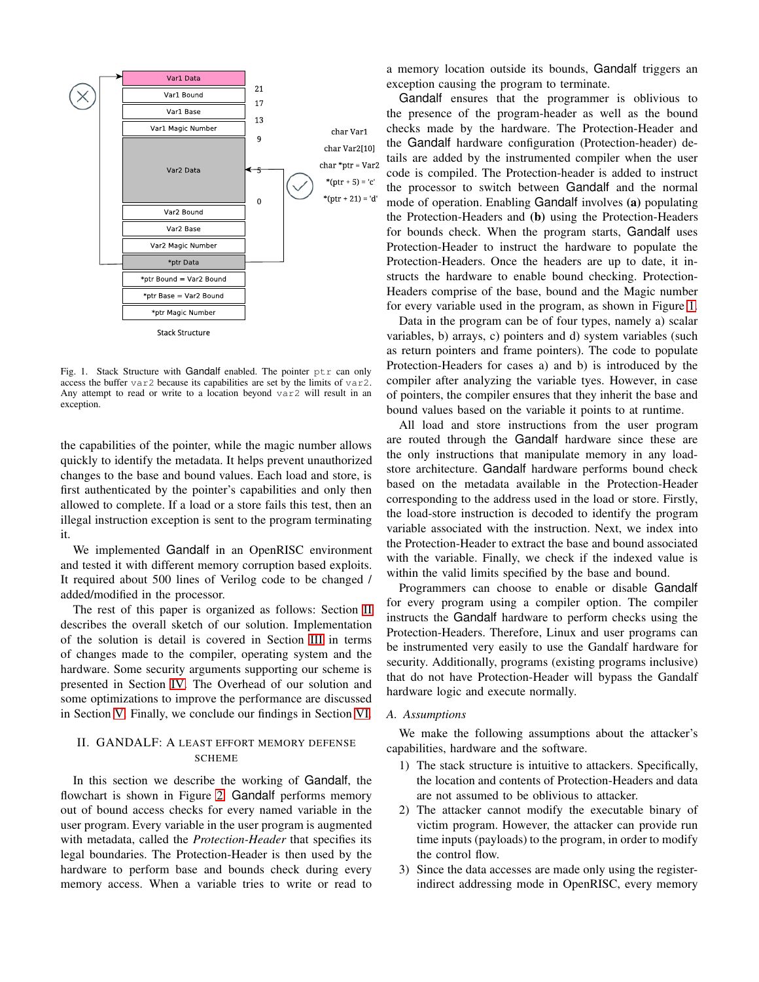

<span id="page-1-0"></span>Fig. 1. Stack Structure with Gandalf enabled. The pointer ptr can only access the buffer var2 because its capabilities are set by the limits of var2. Any attempt to read or write to a location beyond var2 will result in an exception.

the capabilities of the pointer, while the magic number allows quickly to identify the metadata. It helps prevent unauthorized changes to the base and bound values. Each load and store, is first authenticated by the pointer's capabilities and only then allowed to complete. If a load or a store fails this test, then an illegal instruction exception is sent to the program terminating it.

We implemented Gandalf in an OpenRISC environment and tested it with different memory corruption based exploits. It required about 500 lines of Verilog code to be changed / added/modified in the processor.

The rest of this paper is organized as follows: Section [II](#page-1-1) describes the overall sketch of our solution. Implementation of the solution is detail is covered in Section [III](#page-2-0) in terms of changes made to the compiler, operating system and the hardware. Some security arguments supporting our scheme is presented in Section [IV.](#page-3-0) The Overhead of our solution and some optimizations to improve the performance are discussed in Section [V.](#page-3-1) Finally, we conclude our findings in Section [VI.](#page-4-8)

# <span id="page-1-1"></span>II. GANDALF: A LEAST EFFORT MEMORY DEFENSE **SCHEME**

In this section we describe the working of Gandalf, the flowchart is shown in Figure [2.](#page-2-1) Gandalf performs memory out of bound access checks for every named variable in the user program. Every variable in the user program is augmented with metadata, called the *Protection-Header* that specifies its legal boundaries. The Protection-Header is then used by the hardware to perform base and bounds check during every memory access. When a variable tries to write or read to

a memory location outside its bounds, Gandalf triggers an exception causing the program to terminate.

Gandalf ensures that the programmer is oblivious to the presence of the program-header as well as the bound checks made by the hardware. The Protection-Header and the Gandalf hardware configuration (Protection-header) details are added by the instrumented compiler when the user code is compiled. The Protection-header is added to instruct the processor to switch between Gandalf and the normal mode of operation. Enabling Gandalf involves (a) populating the Protection-Headers and (b) using the Protection-Headers for bounds check. When the program starts, Gandalf uses Protection-Header to instruct the hardware to populate the Protection-Headers. Once the headers are up to date, it instructs the hardware to enable bound checking. Protection-Headers comprise of the base, bound and the Magic number for every variable used in the program, as shown in Figure [1.](#page-1-0)

Data in the program can be of four types, namely a) scalar variables, b) arrays, c) pointers and d) system variables (such as return pointers and frame pointers). The code to populate Protection-Headers for cases a) and b) is introduced by the compiler after analyzing the variable tyes. However, in case of pointers, the compiler ensures that they inherit the base and bound values based on the variable it points to at runtime.

All load and store instructions from the user program are routed through the Gandalf hardware since these are the only instructions that manipulate memory in any loadstore architecture. Gandalf hardware performs bound check based on the metadata available in the Protection-Header corresponding to the address used in the load or store. Firstly, the load-store instruction is decoded to identify the program variable associated with the instruction. Next, we index into the Protection-Header to extract the base and bound associated with the variable. Finally, we check if the indexed value is within the valid limits specified by the base and bound.

Programmers can choose to enable or disable Gandalf for every program using a compiler option. The compiler instructs the Gandalf hardware to perform checks using the Protection-Headers. Therefore, Linux and user programs can be instrumented very easily to use the Gandalf hardware for security. Additionally, programs (existing programs inclusive) that do not have Protection-Header will bypass the Gandalf hardware logic and execute normally.

#### *A. Assumptions*

We make the following assumptions about the attacker's capabilities, hardware and the software.

- 1) The stack structure is intuitive to attackers. Specifically, the location and contents of Protection-Headers and data are not assumed to be oblivious to attacker.
- 2) The attacker cannot modify the executable binary of victim program. However, the attacker can provide run time inputs (payloads) to the program, in order to modify the control flow.
- 3) Since the data accesses are made only using the registerindirect addressing mode in OpenRISC, every memory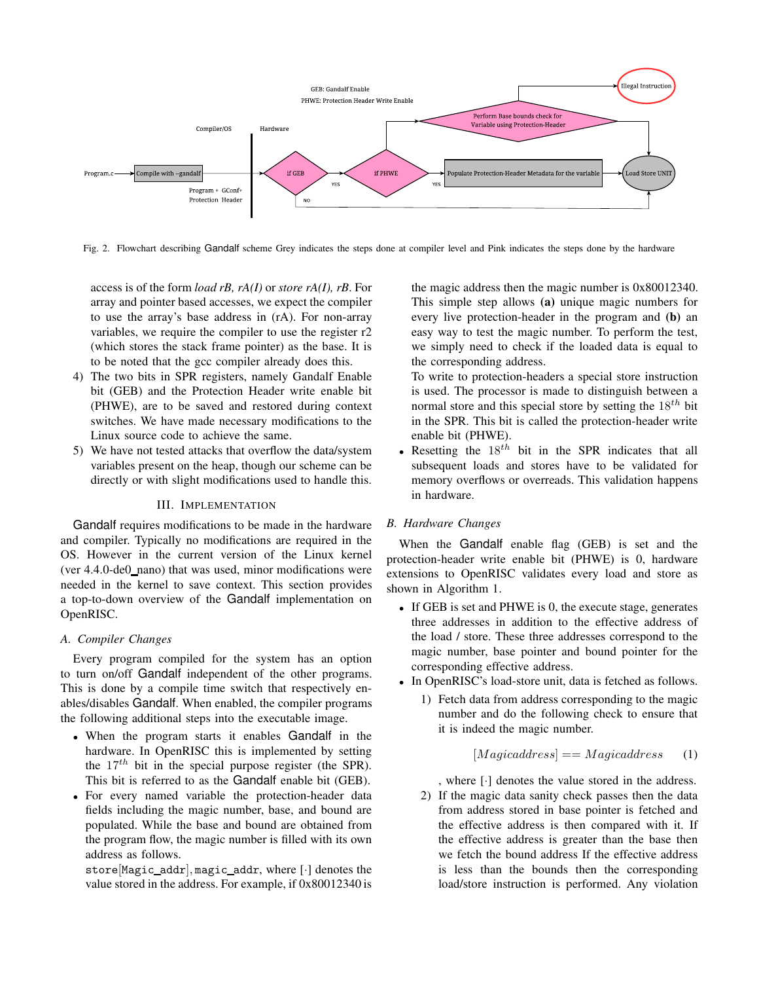

<span id="page-2-1"></span>Fig. 2. Flowchart describing Gandalf scheme Grey indicates the steps done at compiler level and Pink indicates the steps done by the hardware

access is of the form *load rB, rA(I)* or *store rA(I), rB*. For array and pointer based accesses, we expect the compiler to use the array's base address in (rA). For non-array variables, we require the compiler to use the register r2 (which stores the stack frame pointer) as the base. It is to be noted that the gcc compiler already does this.

- 4) The two bits in SPR registers, namely Gandalf Enable bit (GEB) and the Protection Header write enable bit (PHWE), are to be saved and restored during context switches. We have made necessary modifications to the Linux source code to achieve the same.
- 5) We have not tested attacks that overflow the data/system variables present on the heap, though our scheme can be directly or with slight modifications used to handle this.

## III. IMPLEMENTATION

<span id="page-2-0"></span>Gandalf requires modifications to be made in the hardware and compiler. Typically no modifications are required in the OS. However in the current version of the Linux kernel (ver 4.4.0-de0 nano) that was used, minor modifications were needed in the kernel to save context. This section provides a top-to-down overview of the Gandalf implementation on OpenRISC.

## *A. Compiler Changes*

Every program compiled for the system has an option to turn on/off Gandalf independent of the other programs. This is done by a compile time switch that respectively enables/disables Gandalf. When enabled, the compiler programs the following additional steps into the executable image.

- When the program starts it enables Gandalf in the hardware. In OpenRISC this is implemented by setting the  $17<sup>th</sup>$  bit in the special purpose register (the SPR). This bit is referred to as the Gandalf enable bit (GEB).
- For every named variable the protection-header data fields including the magic number, base, and bound are populated. While the base and bound are obtained from the program flow, the magic number is filled with its own address as follows.

store[Magic addr], magic addr, where [·] denotes the value stored in the address. For example, if 0x80012340 is

the magic address then the magic number is 0x80012340. This simple step allows (a) unique magic numbers for every live protection-header in the program and (b) an easy way to test the magic number. To perform the test, we simply need to check if the loaded data is equal to the corresponding address.

To write to protection-headers a special store instruction is used. The processor is made to distinguish between a normal store and this special store by setting the  $18^{th}$  bit in the SPR. This bit is called the protection-header write enable bit (PHWE).

• Resetting the  $18^{th}$  bit in the SPR indicates that all subsequent loads and stores have to be validated for memory overflows or overreads. This validation happens in hardware.

## *B. Hardware Changes*

When the Gandalf enable flag (GEB) is set and the protection-header write enable bit (PHWE) is 0, hardware extensions to OpenRISC validates every load and store as shown in Algorithm 1.

- If GEB is set and PHWE is 0, the execute stage, generates three addresses in addition to the effective address of the load / store. These three addresses correspond to the magic number, base pointer and bound pointer for the corresponding effective address.
- In OpenRISC's load-store unit, data is fetched as follows.
	- 1) Fetch data from address corresponding to the magic number and do the following check to ensure that it is indeed the magic number.

## $[Magicaddress] == Magicaddress \qquad (1)$

, where [·] denotes the value stored in the address.

2) If the magic data sanity check passes then the data from address stored in base pointer is fetched and the effective address is then compared with it. If the effective address is greater than the base then we fetch the bound address If the effective address is less than the bounds then the corresponding load/store instruction is performed. Any violation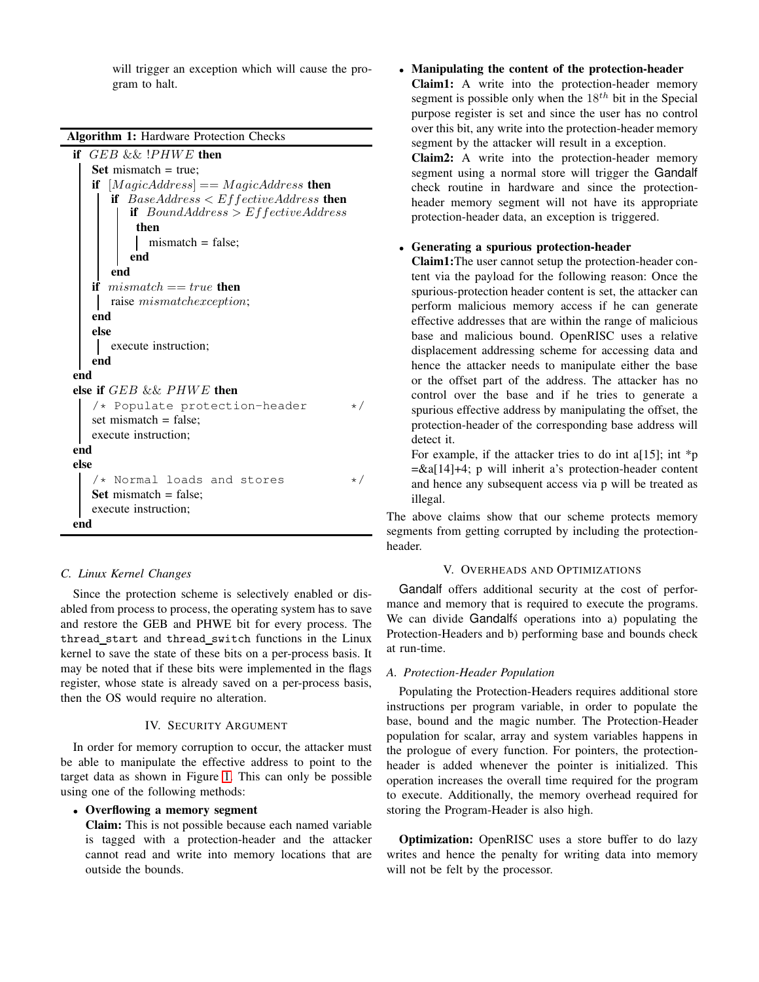will trigger an exception which will cause the program to halt.

Algorithm 1: Hardware Protection Checks

if  $GEB$  && ! $PHWE$  then Set mismatch  $=$  true; if  $[MagicAddress] == MagicAddress$  then if  $BaseAddress < EffectiveAddress$  then if  $BoundAddress > EffectiveAddress$ then mismatch = false; end end if  $mismatch == true$  then raise mismatchexception; end else execute instruction; end end else if GEB && PHWE then  $/*$  Populate protection-header  $*/$ set mismatch = false; execute instruction; end else  $/*$  Normal loads and stores  $*/$ Set mismatch  $=$  false: execute instruction; end

# *C. Linux Kernel Changes*

Since the protection scheme is selectively enabled or disabled from process to process, the operating system has to save and restore the GEB and PHWE bit for every process. The thread start and thread switch functions in the Linux kernel to save the state of these bits on a per-process basis. It may be noted that if these bits were implemented in the flags register, whose state is already saved on a per-process basis, then the OS would require no alteration.

#### IV. SECURITY ARGUMENT

<span id="page-3-0"></span>In order for memory corruption to occur, the attacker must be able to manipulate the effective address to point to the target data as shown in Figure [1.](#page-1-0) This can only be possible using one of the following methods:

# • Overflowing a memory segment

Claim: This is not possible because each named variable is tagged with a protection-header and the attacker cannot read and write into memory locations that are outside the bounds.

• Manipulating the content of the protection-header Claim1: A write into the protection-header memory segment is possible only when the  $18^{th}$  bit in the Special purpose register is set and since the user has no control over this bit, any write into the protection-header memory segment by the attacker will result in a exception.

Claim2: A write into the protection-header memory segment using a normal store will trigger the Gandalf check routine in hardware and since the protectionheader memory segment will not have its appropriate protection-header data, an exception is triggered.

# • Generating a spurious protection-header

Claim1:The user cannot setup the protection-header content via the payload for the following reason: Once the spurious-protection header content is set, the attacker can perform malicious memory access if he can generate effective addresses that are within the range of malicious base and malicious bound. OpenRISC uses a relative displacement addressing scheme for accessing data and hence the attacker needs to manipulate either the base or the offset part of the address. The attacker has no control over the base and if he tries to generate a spurious effective address by manipulating the offset, the protection-header of the corresponding base address will detect it.

For example, if the attacker tries to do int a[15]; int  $\ast$ p =&a[14]+4; p will inherit a's protection-header content and hence any subsequent access via p will be treated as illegal.

The above claims show that our scheme protects memory segments from getting corrupted by including the protectionheader.

# V. OVERHEADS AND OPTIMIZATIONS

<span id="page-3-1"></span>Gandalf offers additional security at the cost of performance and memory that is required to execute the programs. We can divide Gandalfs operations into a) populating the Protection-Headers and b) performing base and bounds check at run-time.

#### *A. Protection-Header Population*

Populating the Protection-Headers requires additional store instructions per program variable, in order to populate the base, bound and the magic number. The Protection-Header population for scalar, array and system variables happens in the prologue of every function. For pointers, the protectionheader is added whenever the pointer is initialized. This operation increases the overall time required for the program to execute. Additionally, the memory overhead required for storing the Program-Header is also high.

Optimization: OpenRISC uses a store buffer to do lazy writes and hence the penalty for writing data into memory will not be felt by the processor.